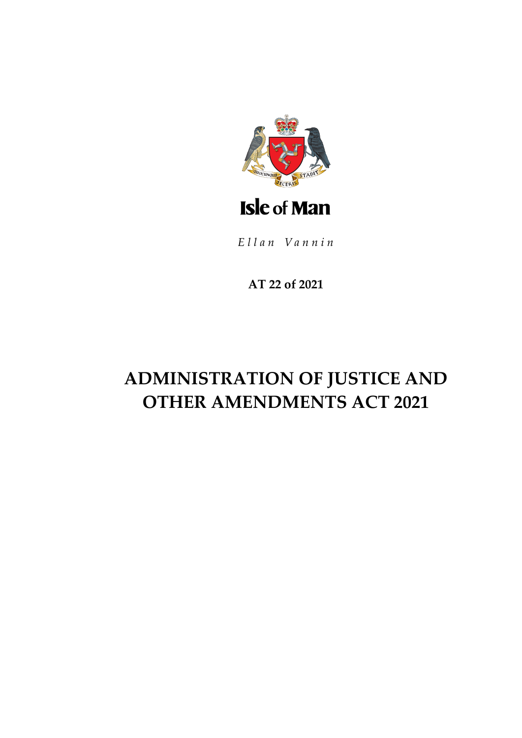

Ellan Vannin

AT 22 of 2021

# **ADMINISTRATION OF JUSTICE AND OTHER AMENDMENTS ACT 2021**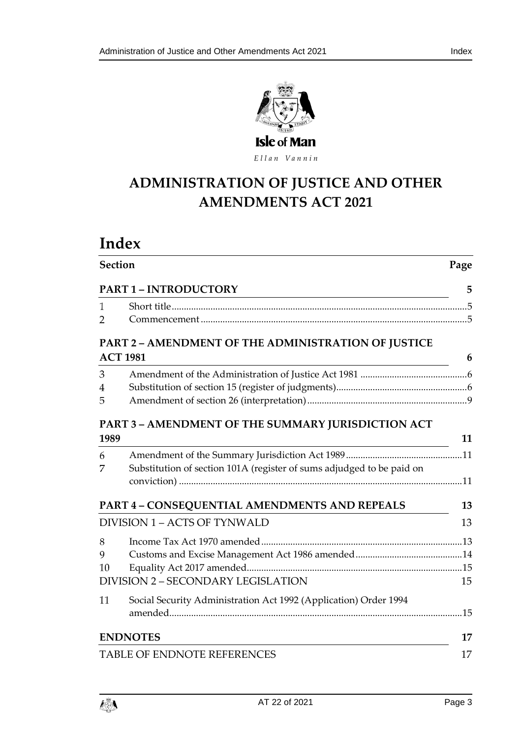

Ellan Vannin

# **ADMINISTRATION OF JU STICE AND OTHER AMENDMENTS ACT 2021**

# **Index**

| <b>Section</b><br><b>PART 1 - INTRODUCTORY</b> |                                                                       | Page<br>5 |
|------------------------------------------------|-----------------------------------------------------------------------|-----------|
|                                                |                                                                       |           |
| 2                                              |                                                                       |           |
|                                                | PART 2 - AMENDMENT OF THE ADMINISTRATION OF JUSTICE                   |           |
| <b>ACT 1981</b>                                |                                                                       | 6         |
| 3                                              |                                                                       |           |
| $\overline{4}$                                 |                                                                       |           |
| 5                                              |                                                                       |           |
|                                                | PART 3 - AMENDMENT OF THE SUMMARY JURISDICTION ACT                    |           |
| 1989                                           |                                                                       | 11        |
| 6                                              |                                                                       |           |
| 7                                              | Substitution of section 101A (register of sums adjudged to be paid on |           |
|                                                |                                                                       |           |
|                                                | PART 4 - CONSEQUENTIAL AMENDMENTS AND REPEALS                         | 13        |
| DIVISION 1 - ACTS OF TYNWALD                   |                                                                       | 13        |
| 8                                              |                                                                       |           |
| 9                                              |                                                                       |           |
| 10                                             |                                                                       |           |
|                                                | DIVISION 2 - SECONDARY LEGISLATION                                    |           |
| 11                                             | Social Security Administration Act 1992 (Application) Order 1994      |           |
|                                                |                                                                       |           |
| <b>ENDNOTES</b>                                |                                                                       | 17        |
| TABLE OF ENDNOTE REFERENCES                    |                                                                       | 17        |

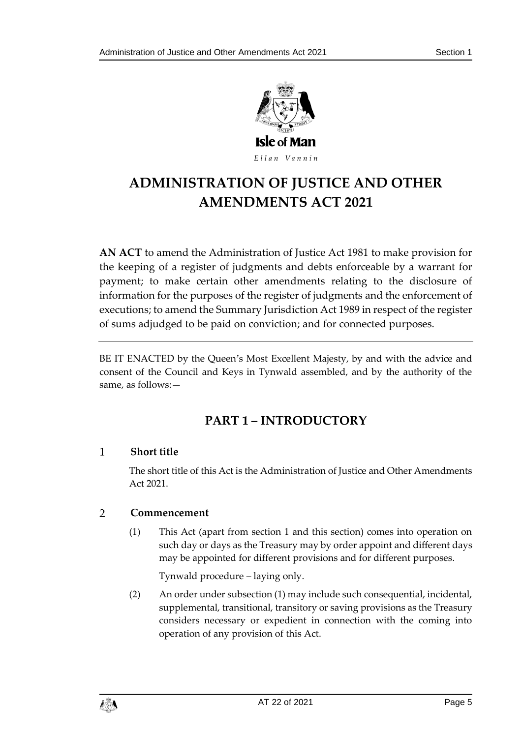

Ellan Vannin

# **ADMINISTRATION OF JU STICE AND OTHER AMENDMENTS ACT 2021**

**AN ACT** to amend the Administration of Justice Act 1981 to make provision for the keeping of a register of judgments and debts enforceable by a warrant for payment; to make certain other amendments relating to the disclosure of information for the purposes of the register of judgments and the enforcement of executions; to amend the Summary Jurisdiction Act 1989 in respect of the register of sums adjudged to be paid on conviction; and for connected purposes.

<span id="page-4-0"></span>BE IT ENACTED by the Queen's Most Excellent Majesty, by and with the advice and consent of the Council and Keys in Tynwald assembled, and by the authority of the same, as follows:—

## **PART 1 – INTRODUCTORY**

### <span id="page-4-1"></span> $\mathbf{1}$ **Short title**

The short title of this Act is the Administration of Justice and Other Amendments Act 2021.

### <span id="page-4-2"></span> $\overline{2}$ **Commencement**

(1) This Act (apart from section 1 and this section) comes into operation on such day or days as the Treasury may by order appoint and different days may be appointed for different provisions and for different purposes.

Tynwald procedure – laying only.

(2) An order under subsection (1) may include such consequential, incidental, supplemental, transitional, transitory or saving provisions as the Treasury considers necessary or expedient in connection with the coming into operation of any provision of this Act.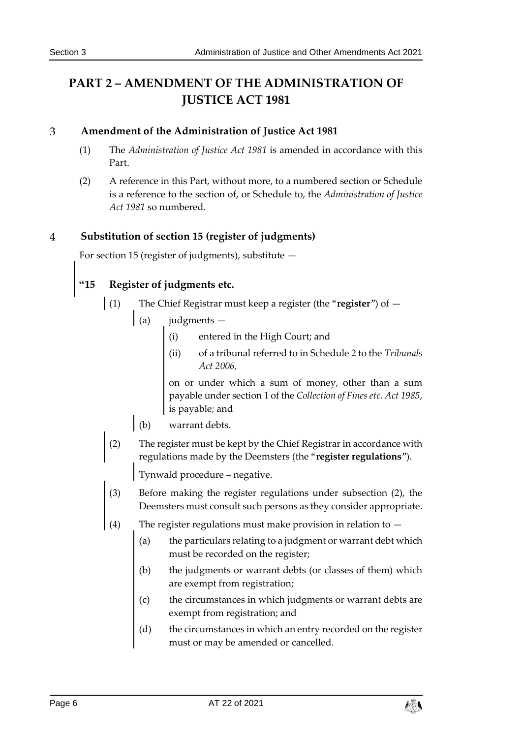## <span id="page-5-0"></span>**PART 2 – AMENDMENT OF THE ADMINISTRATION OF JUSTICE ACT 1981**

### <span id="page-5-1"></span>3 **Amendment of the Administration of Justice Act 1981**

- (1) The *Administration of Justice Act 1981* is amended in accordance with this Part.
- (2) A reference in this Part, without more, to a numbered section or Schedule is a reference to the section of, or Schedule to, the *Administration of Justice Act 1981* so numbered.

### <span id="page-5-2"></span> $\overline{\mathbf{A}}$ **Substitution of section 15 (register of judgments)**

For section 15 (register of judgments), substitute —

## **"15 Register of judgments etc.**

- (1) The Chief Registrar must keep a register (the "**register**") of
	- (a) judgments
		- (i) entered in the High Court; and
		- (ii) of a tribunal referred to in Schedule 2 to the *Tribunals Act 2006,*

on or under which a sum of money, other than a sum payable under section 1 of the *Collection of Fines etc. Act 1985*, is payable; and

- (b) warrant debts.
- (2) The register must be kept by the Chief Registrar in accordance with regulations made by the Deemsters (the "**register regulations**").

Tynwald procedure – negative.

- (3) Before making the register regulations under subsection (2), the Deemsters must consult such persons as they consider appropriate.
- (4) The register regulations must make provision in relation to  $-$ 
	- (a) the particulars relating to a judgment or warrant debt which must be recorded on the register;
	- (b) the judgments or warrant debts (or classes of them) which are exempt from registration;
	- (c) the circumstances in which judgments or warrant debts are exempt from registration; and
	- (d) the circumstances in which an entry recorded on the register must or may be amended or cancelled.

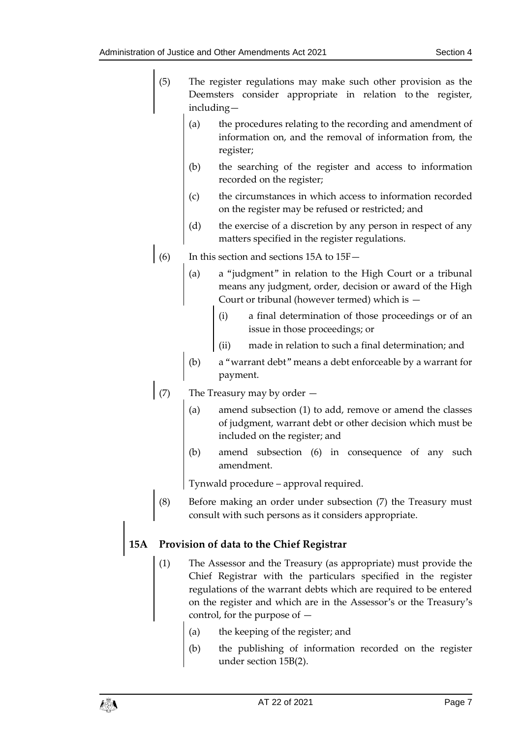- (5) The register regulations may make such other provision as the Deemsters consider appropriate in relation to the register, including—
	- (a) the procedures relating to the recording and amendment of information on, and the removal of information from, the register;
	- (b) the searching of the register and access to information recorded on the register;
	- (c) the circumstances in which access to information recorded on the register may be refused or restricted; and
	- (d) the exercise of a discretion by any person in respect of any matters specified in the register regulations.
- $(6)$  In this section and sections 15A to 15F
	- (a) a "judgment" in relation to the High Court or a tribunal means any judgment, order, decision or award of the High Court or tribunal (however termed) which is —
		- (i) a final determination of those proceedings or of an issue in those proceedings; or
		- (ii) made in relation to such a final determination; and
	- (b) a "warrant debt" means a debt enforceable by a warrant for payment.
- (7) The Treasury may by order
	- amend subsection (1) to add, remove or amend the classes of judgment, warrant debt or other decision which must be included on the register; and
	- (b) amend subsection (6) in consequence of any such amendment.

Tynwald procedure – approval required.

(8) Before making an order under subsection (7) the Treasury must consult with such persons as it considers appropriate.

### **15A Provision of data to the Chief Registrar**

- (1) The Assessor and the Treasury (as appropriate) must provide the Chief Registrar with the particulars specified in the register regulations of the warrant debts which are required to be entered on the register and which are in the Assessor's or the Treasury's control, for the purpose of —
	- (a) the keeping of the register; and
	- (b) the publishing of information recorded on the register under section 15B(2).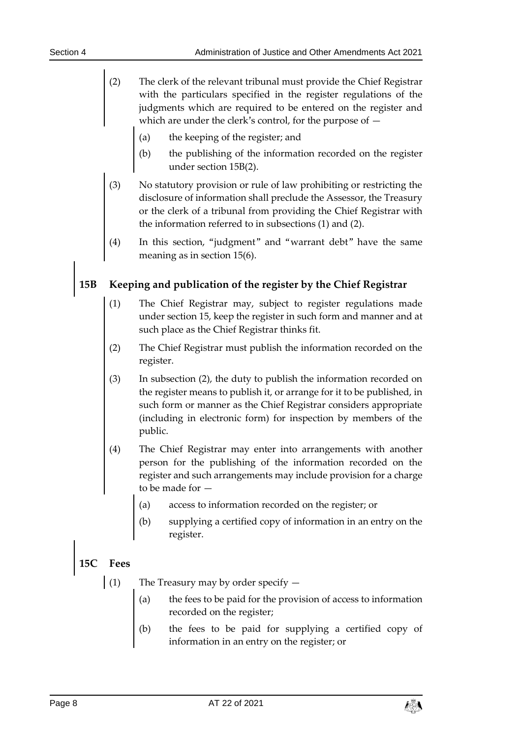- (2) The clerk of the relevant tribunal must provide the Chief Registrar with the particulars specified in the register regulations of the judgments which are required to be entered on the register and which are under the clerk's control, for the purpose of —
	- (a) the keeping of the register; and
	- (b) the publishing of the information recorded on the register under section 15B(2).
- (3) No statutory provision or rule of law prohibiting or restricting the disclosure of information shall preclude the Assessor, the Treasury or the clerk of a tribunal from providing the Chief Registrar with the information referred to in subsections (1) and (2).
- (4) In this section, "judgment" and "warrant debt" have the same meaning as in section 15(6).

## **15B Keeping and publication of the register by the Chief Registrar**

- (1) The Chief Registrar may, subject to register regulations made under section 15, keep the register in such form and manner and at such place as the Chief Registrar thinks fit.
- (2) The Chief Registrar must publish the information recorded on the register.
- (3) In subsection (2), the duty to publish the information recorded on the register means to publish it, or arrange for it to be published, in such form or manner as the Chief Registrar considers appropriate (including in electronic form) for inspection by members of the public.
- (4) The Chief Registrar may enter into arrangements with another person for the publishing of the information recorded on the register and such arrangements may include provision for a charge to be made for —
	- (a) access to information recorded on the register; or
	- (b) supplying a certified copy of information in an entry on the register.

### **15C Fees**

- (1) The Treasury may by order specify  $$ 
	- the fees to be paid for the provision of access to information recorded on the register;
	- (b) the fees to be paid for supplying a certified copy of information in an entry on the register; or

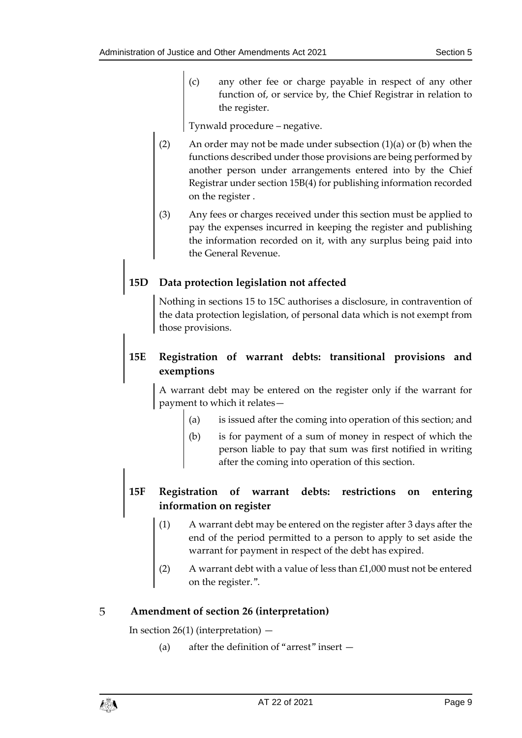(c) any other fee or charge payable in respect of any other function of, or service by, the Chief Registrar in relation to the register.

Tynwald procedure – negative.

- (2) An order may not be made under subsection  $(1)(a)$  or  $(b)$  when the functions described under those provisions are being performed by another person under arrangements entered into by the Chief Registrar under section 15B(4) for publishing information recorded on the register .
- (3) Any fees or charges received under this section must be applied to pay the expenses incurred in keeping the register and publishing the information recorded on it, with any surplus being paid into the General Revenue.

### **15D Data protection legislation not affected**

Nothing in sections 15 to 15C authorises a disclosure, in contravention of the data protection legislation, of personal data which is not exempt from those provisions.

### **15E Registration of warrant debts: transitional provisions and exemptions**

A warrant debt may be entered on the register only if the warrant for payment to which it relates—

- (a) is issued after the coming into operation of this section; and
- (b) is for payment of a sum of money in respect of which the person liable to pay that sum was first notified in writing after the coming into operation of this section.

### **15F Registration of warrant debts: restrictions on entering information on register**

- (1) A warrant debt may be entered on the register after 3 days after the end of the period permitted to a person to apply to set aside the warrant for payment in respect of the debt has expired.
- (2) A warrant debt with a value of less than £1,000 must not be entered on the register.".

### <span id="page-8-0"></span>5 **Amendment of section 26 (interpretation)**

In section  $26(1)$  (interpretation)  $-$ 

(a) after the definition of "arrest" insert —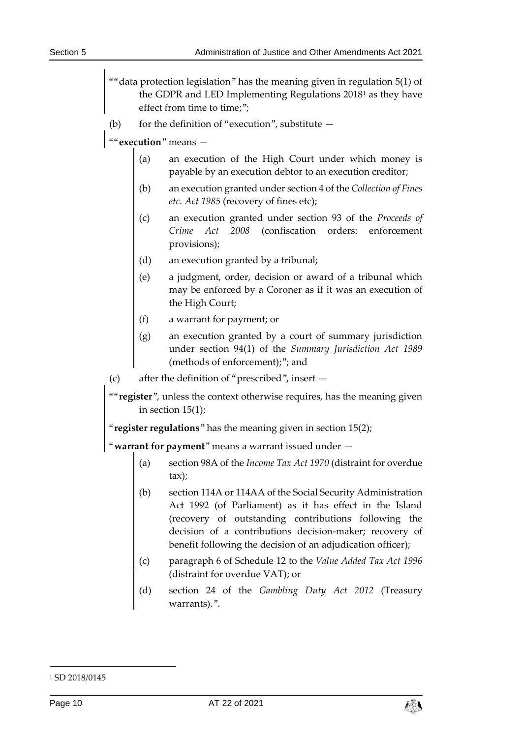- ""data protection legislation" has the meaning given in regulation 5(1) of the GDPR and LED Implementing Regulations 2018<sup>1</sup> as they have effect from time to time;";
- (b) for the definition of "execution", substitute  $-$
- ""**execution**" means
	- (a) an execution of the High Court under which money is payable by an execution debtor to an execution creditor;
	- (b) an execution granted under section 4 of the *Collection of Fines etc. Act 1985* (recovery of fines etc);
	- (c) an execution granted under section 93 of the *Proceeds of Crime Act 2008* (confiscation orders: enforcement provisions);
	- (d) an execution granted by a tribunal;
	- (e) a judgment, order, decision or award of a tribunal which may be enforced by a Coroner as if it was an execution of the High Court;
	- (f) a warrant for payment; or
	- (g) an execution granted by a court of summary jurisdiction under section 94(1) of the *Summary Jurisdiction Act 1989* (methods of enforcement);"; and
- (c) after the definition of "prescribed", insert —

""**register**", unless the context otherwise requires, has the meaning given in section 15(1);

"**register regulations**" has the meaning given in section 15(2);

"**warrant for payment**" means a warrant issued under —

- (a) section 98A of the *Income Tax Act 1970* (distraint for overdue tax);
- (b) section 114A or 114AA of the Social Security Administration Act 1992 (of Parliament) as it has effect in the Island (recovery of outstanding contributions following the decision of a contributions decision-maker; recovery of benefit following the decision of an adjudication officer);
- (c) paragraph 6 of Schedule 12 to the *Value Added Tax Act 1996* (distraint for overdue VAT); or
- (d) section 24 of the *Gambling Duty Act 2012* (Treasury warrants).".

-



<sup>&</sup>lt;sup>1</sup> SD 2018/0145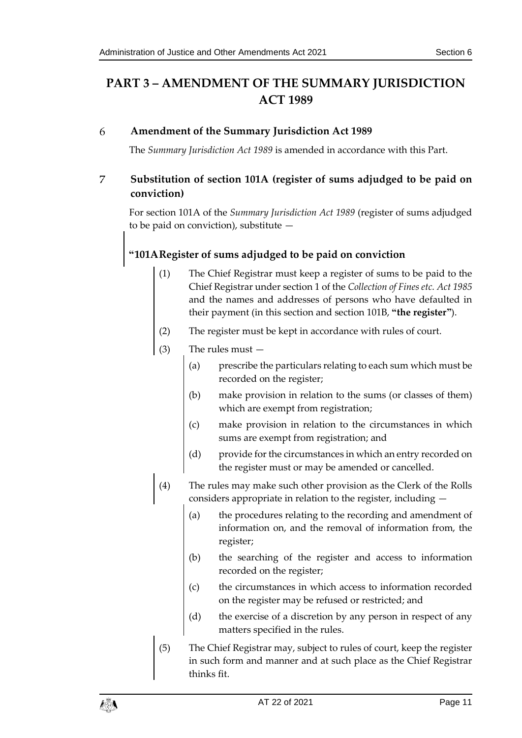## <span id="page-10-0"></span>**PART 3 – AMENDMENT OF THE SUMMARY JURISDICTION ACT 1989**

### <span id="page-10-1"></span>6 **Amendment of the Summary Jurisdiction Act 1989**

The *Summary Jurisdiction Act 1989* is amended in accordance with this Part.

### <span id="page-10-2"></span> $\overline{7}$ **Substitution of section 101A (register of sums adjudged to be paid on conviction)**

For section 101A of the *Summary Jurisdiction Act 1989* (register of sums adjudged to be paid on conviction), substitute —

## **"101ARegister of sums adjudged to be paid on conviction**

- (1) The Chief Registrar must keep a register of sums to be paid to the Chief Registrar under section 1 of the *Collection of Fines etc. Act 1985* and the names and addresses of persons who have defaulted in their payment (in this section and section 101B, **"the register"**).
- (2) The register must be kept in accordance with rules of court.
- (3) The rules must
	- (a) prescribe the particulars relating to each sum which must be recorded on the register;
	- (b) make provision in relation to the sums (or classes of them) which are exempt from registration;
	- (c) make provision in relation to the circumstances in which sums are exempt from registration; and
	- (d) provide for the circumstances in which an entry recorded on the register must or may be amended or cancelled.
- (4) The rules may make such other provision as the Clerk of the Rolls considers appropriate in relation to the register, including —
	- (a) the procedures relating to the recording and amendment of information on, and the removal of information from, the register;
	- (b) the searching of the register and access to information recorded on the register;
	- (c) the circumstances in which access to information recorded on the register may be refused or restricted; and
	- (d) the exercise of a discretion by any person in respect of any matters specified in the rules.
- (5) The Chief Registrar may, subject to rules of court, keep the register in such form and manner and at such place as the Chief Registrar thinks fit.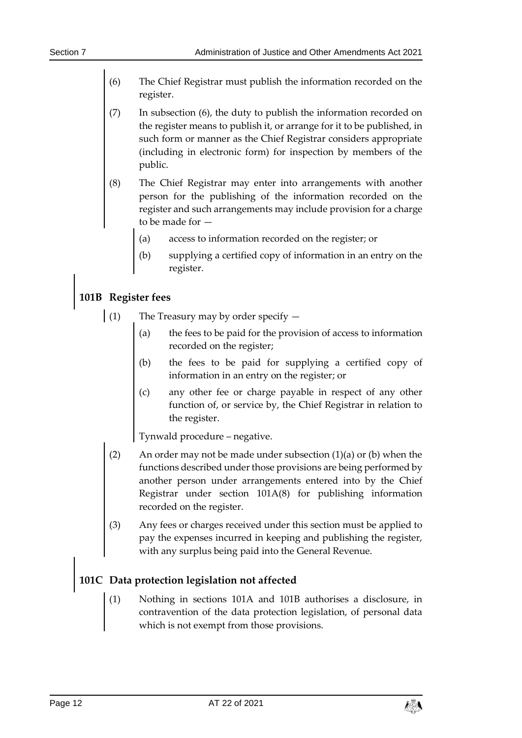- (6) The Chief Registrar must publish the information recorded on the register.
- (7) In subsection (6), the duty to publish the information recorded on the register means to publish it, or arrange for it to be published, in such form or manner as the Chief Registrar considers appropriate (including in electronic form) for inspection by members of the public.
- (8) The Chief Registrar may enter into arrangements with another person for the publishing of the information recorded on the register and such arrangements may include provision for a charge to be made for —
	- (a) access to information recorded on the register; or
	- (b) supplying a certified copy of information in an entry on the register.

### **101B Register fees**

- (1) The Treasury may by order specify
	- the fees to be paid for the provision of access to information recorded on the register;
	- (b) the fees to be paid for supplying a certified copy of information in an entry on the register; or
	- (c) any other fee or charge payable in respect of any other function of, or service by, the Chief Registrar in relation to the register.

Tynwald procedure – negative.

- (2) An order may not be made under subsection (1)(a) or (b) when the functions described under those provisions are being performed by another person under arrangements entered into by the Chief Registrar under section 101A(8) for publishing information recorded on the register.
- (3) Any fees or charges received under this section must be applied to pay the expenses incurred in keeping and publishing the register, with any surplus being paid into the General Revenue.

## **101C Data protection legislation not affected**

(1) Nothing in sections 101A and 101B authorises a disclosure, in contravention of the data protection legislation, of personal data which is not exempt from those provisions.

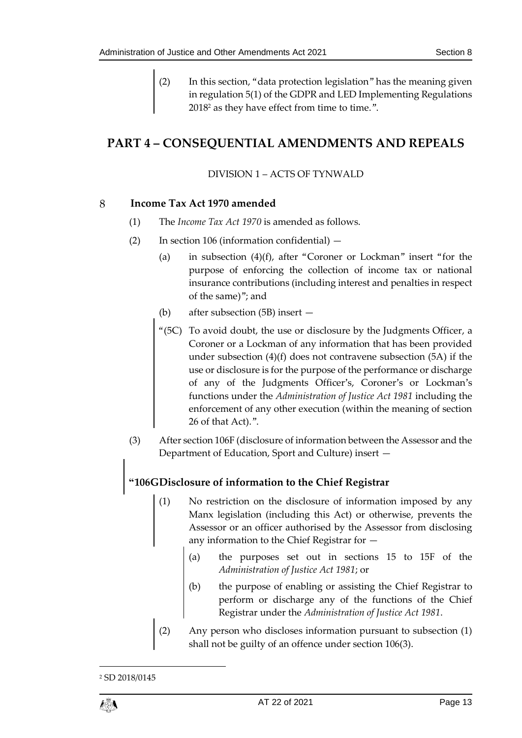(2) In this section, "data protection legislation" has the meaning given in regulation 5(1) of the GDPR and LED Implementing Regulations 2018<sup>2</sup> as they have effect from time to time.".

## <span id="page-12-1"></span><span id="page-12-0"></span>**PART 4 – CONSEQUENTIAL AMENDMENTS AND REPEALS**

### DIVISION 1 – ACTS OF TYNWALD

### <span id="page-12-2"></span>8 **Income Tax Act 1970 amended**

- (1) The *Income Tax Act 1970* is amended as follows.
- (2) In section 106 (information confidential)
	- (a) in subsection (4)(f), after "Coroner or Lockman" insert "for the purpose of enforcing the collection of income tax or national insurance contributions (including interest and penalties in respect of the same)"; and
	- (b) after subsection (5B) insert —
	- "(5C) To avoid doubt, the use or disclosure by the Judgments Officer, a Coroner or a Lockman of any information that has been provided under subsection (4)(f) does not contravene subsection (5A) if the use or disclosure is for the purpose of the performance or discharge of any of the Judgments Officer's, Coroner's or Lockman's functions under the *Administration of Justice Act 1981* including the enforcement of any other execution (within the meaning of section 26 of that Act).".
- (3) After section 106F (disclosure of information between the Assessor and the Department of Education, Sport and Culture) insert —

## **"106GDisclosure of information to the Chief Registrar**

- (1) No restriction on the disclosure of information imposed by any Manx legislation (including this Act) or otherwise, prevents the Assessor or an officer authorised by the Assessor from disclosing any information to the Chief Registrar for —
	- (a) the purposes set out in sections 15 to 15F of the *Administration of Justice Act 1981*; or
	- (b) the purpose of enabling or assisting the Chief Registrar to perform or discharge any of the functions of the Chief Registrar under the *Administration of Justice Act 1981*.
- (2) Any person who discloses information pursuant to subsection (1) shall not be guilty of an offence under section 106(3).

<sup>2</sup> SD 2018/0145



1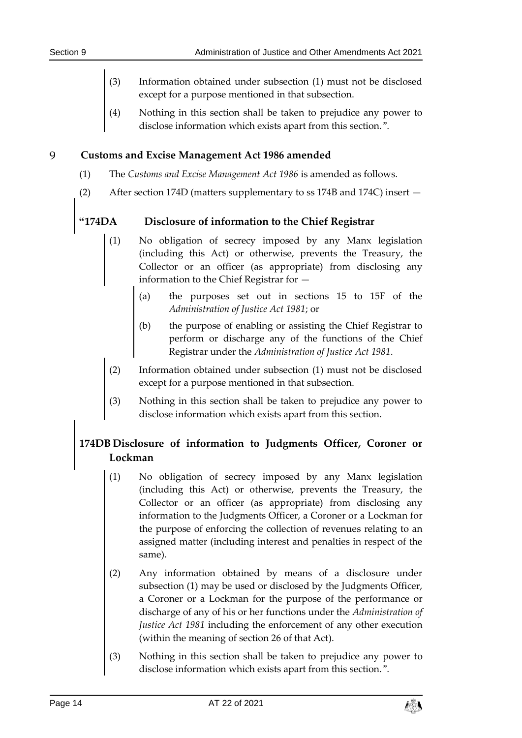- (3) Information obtained under subsection (1) must not be disclosed except for a purpose mentioned in that subsection.
- (4) Nothing in this section shall be taken to prejudice any power to disclose information which exists apart from this section.".

#### <span id="page-13-0"></span>9 **Customs and Excise Management Act 1986 amended**

- (1) The *Customs and Excise Management Act 1986* is amended as follows.
- (2) After section 174D (matters supplementary to ss 174B and 174C) insert —

### **"174DA Disclosure of information to the Chief Registrar**

- (1) No obligation of secrecy imposed by any Manx legislation (including this Act) or otherwise, prevents the Treasury, the Collector or an officer (as appropriate) from disclosing any information to the Chief Registrar for —
	- (a) the purposes set out in sections 15 to 15F of the *Administration of Justice Act 1981*; or
	- (b) the purpose of enabling or assisting the Chief Registrar to perform or discharge any of the functions of the Chief Registrar under the *Administration of Justice Act 1981*.
- (2) Information obtained under subsection (1) must not be disclosed except for a purpose mentioned in that subsection.
- (3) Nothing in this section shall be taken to prejudice any power to disclose information which exists apart from this section.

### **174DB Disclosure of information to Judgments Officer, Coroner or Lockman**

- (1) No obligation of secrecy imposed by any Manx legislation (including this Act) or otherwise, prevents the Treasury, the Collector or an officer (as appropriate) from disclosing any information to the Judgments Officer, a Coroner or a Lockman for the purpose of enforcing the collection of revenues relating to an assigned matter (including interest and penalties in respect of the same).
- (2) Any information obtained by means of a disclosure under subsection (1) may be used or disclosed by the Judgments Officer, a Coroner or a Lockman for the purpose of the performance or discharge of any of his or her functions under the *Administration of Justice Act 1981* including the enforcement of any other execution (within the meaning of section 26 of that Act).
- (3) Nothing in this section shall be taken to prejudice any power to disclose information which exists apart from this section.".

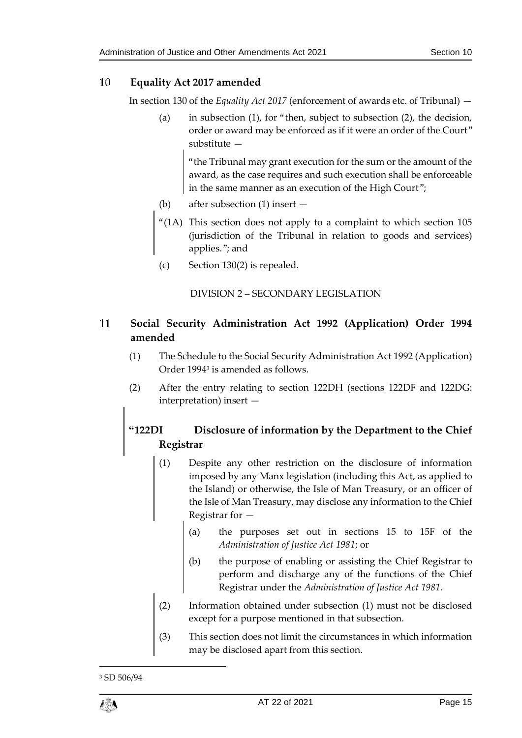### <span id="page-14-0"></span>10 **Equality Act 2017 amended**

In section 130 of the *Equality Act 2017* (enforcement of awards etc. of Tribunal) —

(a) in subsection (1), for "then, subject to subsection (2), the decision, order or award may be enforced as if it were an order of the Court" substitute —

"the Tribunal may grant execution for the sum or the amount of the award, as the case requires and such execution shall be enforceable in the same manner as an execution of the High Court";

- (b) after subsection (1) insert —
- "(1A) This section does not apply to a complaint to which section 105 (jurisdiction of the Tribunal in relation to goods and services) applies."; and
- (c) Section 130(2) is repealed.

DIVISION 2 – SECONDARY LEGISLATION

### <span id="page-14-2"></span><span id="page-14-1"></span>11 **Social Security Administration Act 1992 (Application) Order 1994 amended**

- (1) The Schedule to the Social Security Administration Act 1992 (Application) Order 1994<sup>3</sup> is amended as follows.
- (2) After the entry relating to section 122DH (sections 122DF and 122DG: interpretation) insert —

## **"122DI Disclosure of information by the Department to the Chief Registrar**

- (1) Despite any other restriction on the disclosure of information imposed by any Manx legislation (including this Act, as applied to the Island) or otherwise, the Isle of Man Treasury, or an officer of the Isle of Man Treasury, may disclose any information to the Chief Registrar for —
	- (a) the purposes set out in sections 15 to 15F of the *Administration of Justice Act 1981*; or
	- (b) the purpose of enabling or assisting the Chief Registrar to perform and discharge any of the functions of the Chief Registrar under the *Administration of Justice Act 1981*.
- (2) Information obtained under subsection (1) must not be disclosed except for a purpose mentioned in that subsection.
- (3) This section does not limit the circumstances in which information may be disclosed apart from this section.

<sup>3</sup> SD 506/94



1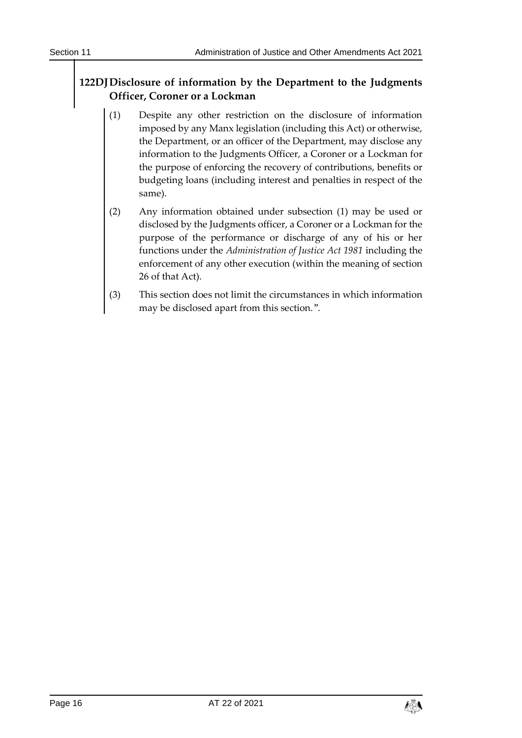### **122DJDisclosure of information by the Department to the Judgments Officer, Coroner or a Lockman**

- (1) Despite any other restriction on the disclosure of information imposed by any Manx legislation (including this Act) or otherwise, the Department, or an officer of the Department, may disclose any information to the Judgments Officer, a Coroner or a Lockman for the purpose of enforcing the recovery of contributions, benefits or budgeting loans (including interest and penalties in respect of the same).
- (2) Any information obtained under subsection (1) may be used or disclosed by the Judgments officer, a Coroner or a Lockman for the purpose of the performance or discharge of any of his or her functions under the *Administration of Justice Act 1981* including the enforcement of any other execution (within the meaning of section 26 of that Act).
- (3) This section does not limit the circumstances in which information may be disclosed apart from this section.".